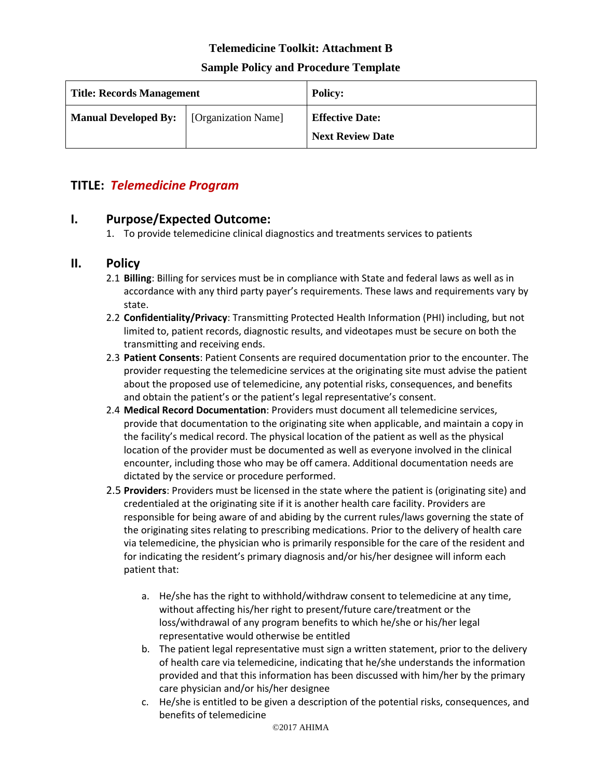### **Telemedicine Toolkit: Attachment B**

#### **Sample Policy and Procedure Template**

| <b>Title: Records Management</b>                  |  | <b>Policy:</b>                                    |
|---------------------------------------------------|--|---------------------------------------------------|
| <b>Manual Developed By:</b>   [Organization Name] |  | <b>Effective Date:</b><br><b>Next Review Date</b> |
|                                                   |  |                                                   |

# **TITLE:** *Telemedicine Program*

### **I. Purpose/Expected Outcome:**

1. To provide telemedicine clinical diagnostics and treatments services to patients

# **II. Policy**

- 2.1 **Billing**: Billing for services must be in compliance with State and federal laws as well as in accordance with any third party payer's requirements. These laws and requirements vary by state.
- 2.2 **Confidentiality/Privacy**: Transmitting Protected Health Information (PHI) including, but not limited to, patient records, diagnostic results, and videotapes must be secure on both the transmitting and receiving ends.
- 2.3 **Patient Consents**: Patient Consents are required documentation prior to the encounter. The provider requesting the telemedicine services at the originating site must advise the patient about the proposed use of telemedicine, any potential risks, consequences, and benefits and obtain the patient's or the patient's legal representative's consent.
- 2.4 **Medical Record Documentation**: Providers must document all telemedicine services, provide that documentation to the originating site when applicable, and maintain a copy in the facility's medical record. The physical location of the patient as well as the physical location of the provider must be documented as well as everyone involved in the clinical encounter, including those who may be off camera. Additional documentation needs are dictated by the service or procedure performed.
- 2.5 **Providers**: Providers must be licensed in the state where the patient is (originating site) and credentialed at the originating site if it is another health care facility. Providers are responsible for being aware of and abiding by the current rules/laws governing the state of the originating sites relating to prescribing medications. Prior to the delivery of health care via telemedicine, the physician who is primarily responsible for the care of the resident and for indicating the resident's primary diagnosis and/or his/her designee will inform each patient that:
	- a. He/she has the right to withhold/withdraw consent to telemedicine at any time, without affecting his/her right to present/future care/treatment or the loss/withdrawal of any program benefits to which he/she or his/her legal representative would otherwise be entitled
	- b. The patient legal representative must sign a written statement, prior to the delivery of health care via telemedicine, indicating that he/she understands the information provided and that this information has been discussed with him/her by the primary care physician and/or his/her designee
	- c. He/she is entitled to be given a description of the potential risks, consequences, and benefits of telemedicine